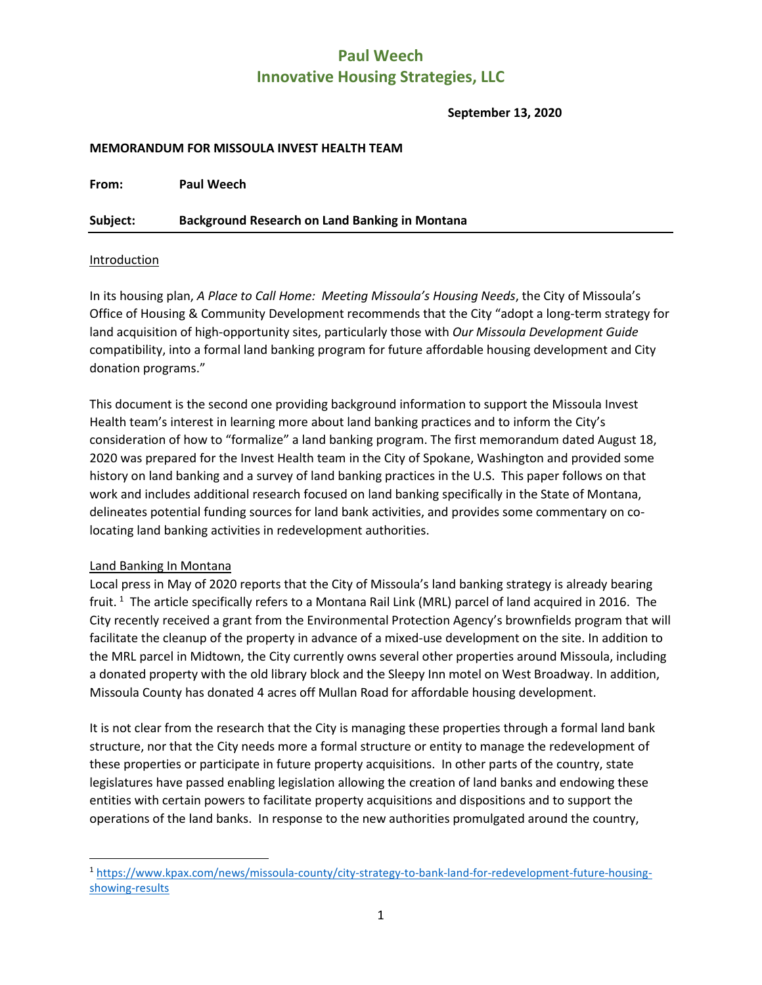**September 13, 2020**

#### **MEMORANDUM FOR MISSOULA INVEST HEALTH TEAM**

**From: Paul Weech**

**Subject: Background Research on Land Banking in Montana**

#### Introduction

In its housing plan, *A Place to Call Home: Meeting Missoula's Housing Needs*, the City of Missoula's Office of Housing & Community Development recommends that the City "adopt a long-term strategy for land acquisition of high-opportunity sites, particularly those with *Our Missoula Development Guide* compatibility, into a formal land banking program for future affordable housing development and City donation programs."

This document is the second one providing background information to support the Missoula Invest Health team's interest in learning more about land banking practices and to inform the City's consideration of how to "formalize" a land banking program. The first memorandum dated August 18, 2020 was prepared for the Invest Health team in the City of Spokane, Washington and provided some history on land banking and a survey of land banking practices in the U.S. This paper follows on that work and includes additional research focused on land banking specifically in the State of Montana, delineates potential funding sources for land bank activities, and provides some commentary on colocating land banking activities in redevelopment authorities.

#### Land Banking In Montana

Local press in May of 2020 reports that the City of Missoula's land banking strategy is already bearing fruit.<sup>[1](#page-0-0)</sup> The article specifically refers to a Montana Rail Link (MRL) parcel of land acquired in 2016. The City recently received a grant from the Environmental Protection Agency's brownfields program that will facilitate the cleanup of the property in advance of a mixed-use development on the site. In addition to the MRL parcel in Midtown, the City currently owns several other properties around Missoula, including a donated property with the old library block and the Sleepy Inn motel on West Broadway. In addition, Missoula County has donated 4 acres off Mullan Road for affordable housing development.

It is not clear from the research that the City is managing these properties through a formal land bank structure, nor that the City needs more a formal structure or entity to manage the redevelopment of these properties or participate in future property acquisitions. In other parts of the country, state legislatures have passed enabling legislation allowing the creation of land banks and endowing these entities with certain powers to facilitate property acquisitions and dispositions and to support the operations of the land banks. In response to the new authorities promulgated around the country,

<span id="page-0-0"></span> <sup>1</sup> [https://www.kpax.com/news/missoula-county/city-strategy-to-bank-land-for-redevelopment-future-housing](https://www.kpax.com/news/missoula-county/city-strategy-to-bank-land-for-redevelopment-future-housing-showing-results)[showing-results](https://www.kpax.com/news/missoula-county/city-strategy-to-bank-land-for-redevelopment-future-housing-showing-results)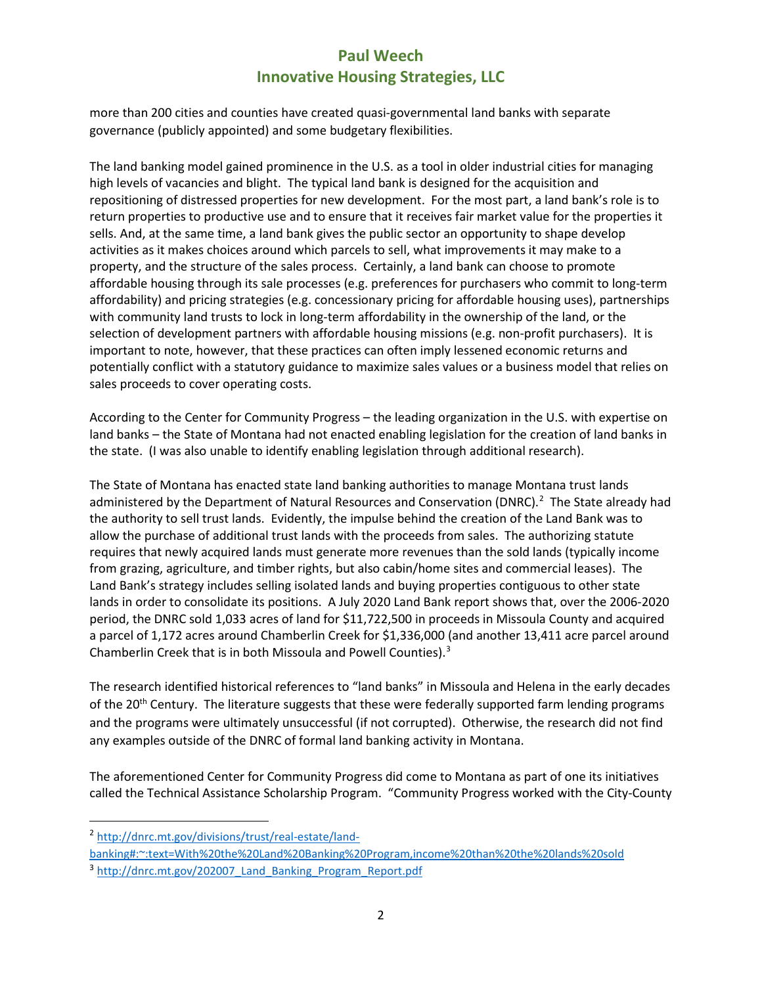more than 200 cities and counties have created quasi-governmental land banks with separate governance (publicly appointed) and some budgetary flexibilities.

The land banking model gained prominence in the U.S. as a tool in older industrial cities for managing high levels of vacancies and blight. The typical land bank is designed for the acquisition and repositioning of distressed properties for new development. For the most part, a land bank's role is to return properties to productive use and to ensure that it receives fair market value for the properties it sells. And, at the same time, a land bank gives the public sector an opportunity to shape develop activities as it makes choices around which parcels to sell, what improvements it may make to a property, and the structure of the sales process. Certainly, a land bank can choose to promote affordable housing through its sale processes (e.g. preferences for purchasers who commit to long-term affordability) and pricing strategies (e.g. concessionary pricing for affordable housing uses), partnerships with community land trusts to lock in long-term affordability in the ownership of the land, or the selection of development partners with affordable housing missions (e.g. non-profit purchasers). It is important to note, however, that these practices can often imply lessened economic returns and potentially conflict with a statutory guidance to maximize sales values or a business model that relies on sales proceeds to cover operating costs.

According to the Center for Community Progress – the leading organization in the U.S. with expertise on land banks – the State of Montana had not enacted enabling legislation for the creation of land banks in the state. (I was also unable to identify enabling legislation through additional research).

The State of Montana has enacted state land banking authorities to manage Montana trust lands administered by the Department of Natural Resources and Conservation (DNRC).<sup>[2](#page-1-0)</sup> The State already had the authority to sell trust lands. Evidently, the impulse behind the creation of the Land Bank was to allow the purchase of additional trust lands with the proceeds from sales. The authorizing statute requires that newly acquired lands must generate more revenues than the sold lands (typically income from grazing, agriculture, and timber rights, but also cabin/home sites and commercial leases). The Land Bank's strategy includes selling isolated lands and buying properties contiguous to other state lands in order to consolidate its positions. A July 2020 Land Bank report shows that, over the 2006-2020 period, the DNRC sold 1,033 acres of land for \$11,722,500 in proceeds in Missoula County and acquired a parcel of 1,172 acres around Chamberlin Creek for \$1,336,000 (and another 13,411 acre parcel around Chamberlin Creek that is in both Missoula and Powell Counties). [3](#page-1-1)

The research identified historical references to "land banks" in Missoula and Helena in the early decades of the 20<sup>th</sup> Century. The literature suggests that these were federally supported farm lending programs and the programs were ultimately unsuccessful (if not corrupted). Otherwise, the research did not find any examples outside of the DNRC of formal land banking activity in Montana.

The aforementioned Center for Community Progress did come to Montana as part of one its initiatives called the Technical Assistance Scholarship Program. "Community Progress worked with the City-County

<span id="page-1-0"></span> <sup>2</sup> [http://dnrc.mt.gov/divisions/trust/real-estate/land-](http://dnrc.mt.gov/divisions/trust/real-estate/land-banking#:%7E:text=With%20the%20Land%20Banking%20Program,income%20than%20the%20lands%20sold)

[banking#:~:text=With%20the%20Land%20Banking%20Program,income%20than%20the%20lands%20sold](http://dnrc.mt.gov/divisions/trust/real-estate/land-banking#:%7E:text=With%20the%20Land%20Banking%20Program,income%20than%20the%20lands%20sold)

<span id="page-1-1"></span><sup>&</sup>lt;sup>3</sup> [http://dnrc.mt.gov/202007\\_Land\\_Banking\\_Program\\_Report.pdf](http://dnrc.mt.gov/202007_Land_Banking_Program_Report.pdf)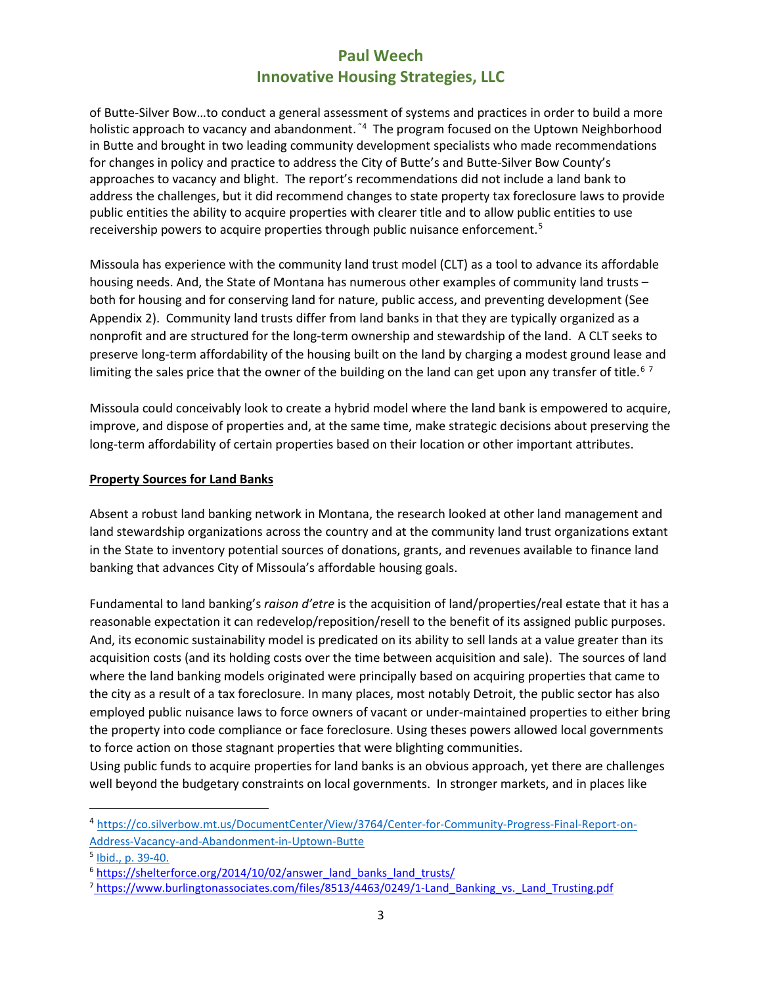of Butte-Silver Bow…to conduct a general assessment of systems and practices in order to build a more holistic approach to vacancy and abandonment. <sup>"[4](#page-2-0)</sup> The program focused on the Uptown Neighborhood in Butte and brought in two leading community development specialists who made recommendations for changes in policy and practice to address the City of Butte's and Butte-Silver Bow County's approaches to vacancy and blight. The report's recommendations did not include a land bank to address the challenges, but it did recommend changes to state property tax foreclosure laws to provide public entities the ability to acquire properties with clearer title and to allow public entities to use receivership powers to acquire properties through public nuisance enforcement.<sup>[5](#page-2-1)</sup>

Missoula has experience with the community land trust model (CLT) as a tool to advance its affordable housing needs. And, the State of Montana has numerous other examples of community land trusts – both for housing and for conserving land for nature, public access, and preventing development (See Appendix 2). Community land trusts differ from land banks in that they are typically organized as a nonprofit and are structured for the long-term ownership and stewardship of the land. A CLT seeks to preserve long-term affordability of the housing built on the land by charging a modest ground lease and limiting the sales price that the owner of the building on the land can get upon any transfer of title.<sup>[6](#page-2-2)[7](#page-2-3)</sup>

Missoula could conceivably look to create a hybrid model where the land bank is empowered to acquire, improve, and dispose of properties and, at the same time, make strategic decisions about preserving the long-term affordability of certain properties based on their location or other important attributes.

#### **Property Sources for Land Banks**

Absent a robust land banking network in Montana, the research looked at other land management and land stewardship organizations across the country and at the community land trust organizations extant in the State to inventory potential sources of donations, grants, and revenues available to finance land banking that advances City of Missoula's affordable housing goals.

Fundamental to land banking's *raison d'etre* is the acquisition of land/properties/real estate that it has a reasonable expectation it can redevelop/reposition/resell to the benefit of its assigned public purposes. And, its economic sustainability model is predicated on its ability to sell lands at a value greater than its acquisition costs (and its holding costs over the time between acquisition and sale). The sources of land where the land banking models originated were principally based on acquiring properties that came to the city as a result of a tax foreclosure. In many places, most notably Detroit, the public sector has also employed public nuisance laws to force owners of vacant or under-maintained properties to either bring the property into code compliance or face foreclosure. Using theses powers allowed local governments to force action on those stagnant properties that were blighting communities.

Using public funds to acquire properties for land banks is an obvious approach, yet there are challenges well beyond the budgetary constraints on local governments. In stronger markets, and in places like

<span id="page-2-0"></span> <sup>4</sup> [https://co.silverbow.mt.us/DocumentCenter/View/3764/Center-for-Community-Progress-Final-Report-on-](https://co.silverbow.mt.us/DocumentCenter/View/3764/Center-for-Community-Progress-Final-Report-on-Address-Vacancy-and-Abandonment-in-Uptown-Butte)[Address-Vacancy-and-Abandonment-in-Uptown-Butte](https://co.silverbow.mt.us/DocumentCenter/View/3764/Center-for-Community-Progress-Final-Report-on-Address-Vacancy-and-Abandonment-in-Uptown-Butte)

<span id="page-2-1"></span><sup>5</sup> Ibid., p. 39-40.

<span id="page-2-2"></span><sup>&</sup>lt;sup>6</sup> [https://shelterforce.org/2014/10/02/answer\\_land\\_banks\\_land\\_trusts/](https://shelterforce.org/2014/10/02/answer_land_banks_land_trusts/)

<span id="page-2-3"></span><sup>&</sup>lt;sup>7</sup> https://www.burlingtonassociates.com/files/8513/4463/0249/1-Land Banking vs. Land Trusting.pdf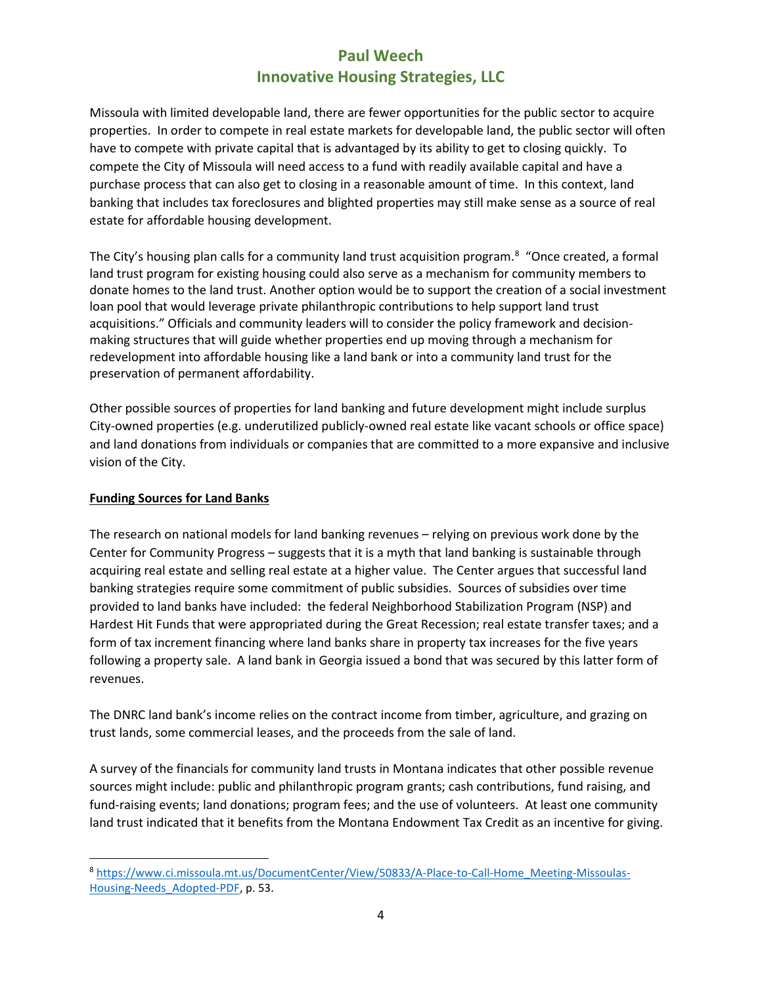Missoula with limited developable land, there are fewer opportunities for the public sector to acquire properties. In order to compete in real estate markets for developable land, the public sector will often have to compete with private capital that is advantaged by its ability to get to closing quickly. To compete the City of Missoula will need access to a fund with readily available capital and have a purchase process that can also get to closing in a reasonable amount of time. In this context, land banking that includes tax foreclosures and blighted properties may still make sense as a source of real estate for affordable housing development.

The City's housing plan calls for a community land trust acquisition program.<sup>[8](#page-3-0)</sup> "Once created, a formal land trust program for existing housing could also serve as a mechanism for community members to donate homes to the land trust. Another option would be to support the creation of a social investment loan pool that would leverage private philanthropic contributions to help support land trust acquisitions." Officials and community leaders will to consider the policy framework and decisionmaking structures that will guide whether properties end up moving through a mechanism for redevelopment into affordable housing like a land bank or into a community land trust for the preservation of permanent affordability.

Other possible sources of properties for land banking and future development might include surplus City-owned properties (e.g. underutilized publicly-owned real estate like vacant schools or office space) and land donations from individuals or companies that are committed to a more expansive and inclusive vision of the City.

#### **Funding Sources for Land Banks**

The research on national models for land banking revenues – relying on previous work done by the Center for Community Progress – suggests that it is a myth that land banking is sustainable through acquiring real estate and selling real estate at a higher value. The Center argues that successful land banking strategies require some commitment of public subsidies. Sources of subsidies over time provided to land banks have included: the federal Neighborhood Stabilization Program (NSP) and Hardest Hit Funds that were appropriated during the Great Recession; real estate transfer taxes; and a form of tax increment financing where land banks share in property tax increases for the five years following a property sale. A land bank in Georgia issued a bond that was secured by this latter form of revenues.

The DNRC land bank's income relies on the contract income from timber, agriculture, and grazing on trust lands, some commercial leases, and the proceeds from the sale of land.

A survey of the financials for community land trusts in Montana indicates that other possible revenue sources might include: public and philanthropic program grants; cash contributions, fund raising, and fund-raising events; land donations; program fees; and the use of volunteers. At least one community land trust indicated that it benefits from the Montana Endowment Tax Credit as an incentive for giving.

<span id="page-3-0"></span> <sup>8</sup> [https://www.ci.missoula.mt.us/DocumentCenter/View/50833/A-Place-to-Call-Home\\_Meeting-Missoulas-](https://www.ci.missoula.mt.us/DocumentCenter/View/50833/A-Place-to-Call-Home_Meeting-Missoulas-Housing-Needs_Adopted-PDF)[Housing-Needs\\_Adopted-PDF,](https://www.ci.missoula.mt.us/DocumentCenter/View/50833/A-Place-to-Call-Home_Meeting-Missoulas-Housing-Needs_Adopted-PDF) p. 53.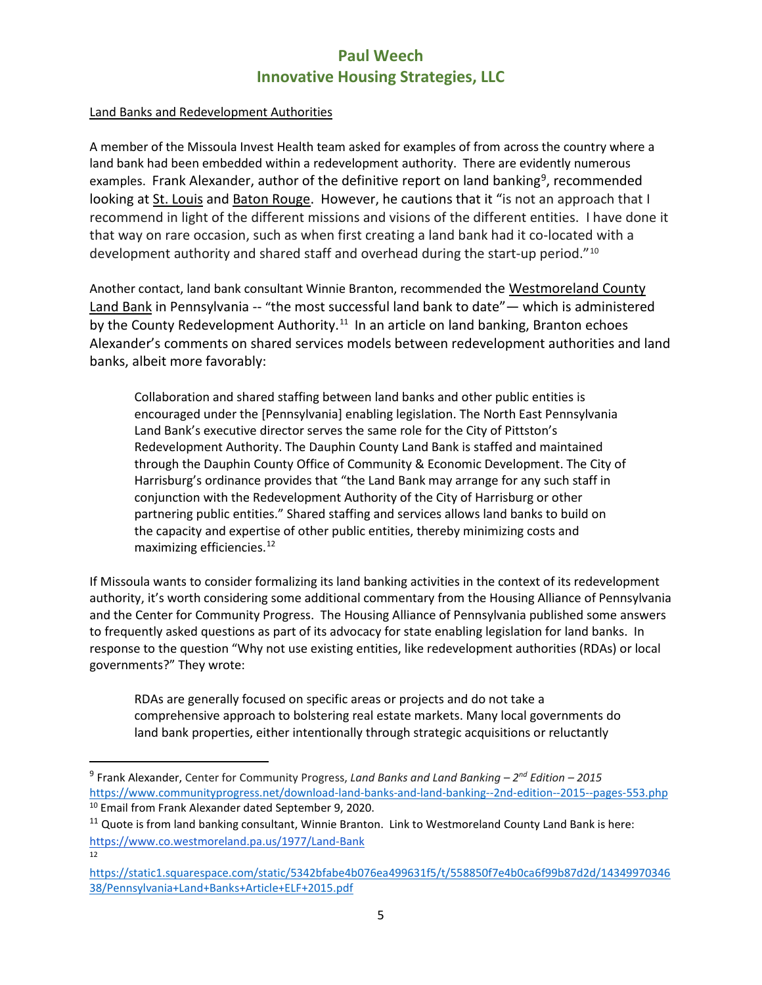### Land Banks and Redevelopment Authorities

A member of the Missoula Invest Health team asked for examples of from across the country where a land bank had been embedded within a redevelopment authority. There are evidently numerous examples. Frank Alexander, author of the definitive report on land banking<sup>[9](#page-4-0)</sup>, recommended looking at St. Louis and Baton Rouge. However, he cautions that it "is not an approach that I recommend in light of the different missions and visions of the different entities. I have done it that way on rare occasion, such as when first creating a land bank had it co-located with a development authority and shared staff and overhead during the start-up period."[10](#page-4-1)

Another contact, land bank consultant Winnie Branton, recommended the Westmoreland County Land Bank in Pennsylvania -- "the most successful land bank to date"— which is administered by the County Redevelopment Authority.<sup>11</sup> In an article on land banking, Branton echoes Alexander's comments on shared services models between redevelopment authorities and land banks, albeit more favorably:

Collaboration and shared staffing between land banks and other public entities is encouraged under the [Pennsylvania] enabling legislation. The North East Pennsylvania Land Bank's executive director serves the same role for the City of Pittston's Redevelopment Authority. The Dauphin County Land Bank is staffed and maintained through the Dauphin County Office of Community & Economic Development. The City of Harrisburg's ordinance provides that "the Land Bank may arrange for any such staff in conjunction with the Redevelopment Authority of the City of Harrisburg or other partnering public entities." Shared staffing and services allows land banks to build on the capacity and expertise of other public entities, thereby minimizing costs and maximizing efficiencies.<sup>[12](#page-4-3)</sup>

If Missoula wants to consider formalizing its land banking activities in the context of its redevelopment authority, it's worth considering some additional commentary from the Housing Alliance of Pennsylvania and the Center for Community Progress. The Housing Alliance of Pennsylvania published some answers to frequently asked questions as part of its advocacy for state enabling legislation for land banks. In response to the question "Why not use existing entities, like redevelopment authorities (RDAs) or local governments?" They wrote:

RDAs are generally focused on specific areas or projects and do not take a comprehensive approach to bolstering real estate markets. Many local governments do land bank properties, either intentionally through strategic acquisitions or reluctantly

<span id="page-4-3"></span>12

<span id="page-4-0"></span> <sup>9</sup> Frank Alexander, Center for Community Progress, *Land Banks and Land Banking – 2nd Edition – <sup>2015</sup>* <https://www.communityprogress.net/download-land-banks-and-land-banking--2nd-edition--2015--pages-553.php> <sup>10</sup> Email from Frank Alexander dated September 9, 2020.

<span id="page-4-2"></span><span id="page-4-1"></span><sup>&</sup>lt;sup>11</sup> Quote is from land banking consultant, Winnie Branton. Link to Westmoreland County Land Bank is here: <https://www.co.westmoreland.pa.us/1977/Land-Bank>

[https://static1.squarespace.com/static/5342bfabe4b076ea499631f5/t/558850f7e4b0ca6f99b87d2d/14349970346](https://static1.squarespace.com/static/5342bfabe4b076ea499631f5/t/558850f7e4b0ca6f99b87d2d/1434997034638/Pennsylvania+Land+Banks+Article+ELF+2015.pdf) [38/Pennsylvania+Land+Banks+Article+ELF+2015.pdf](https://static1.squarespace.com/static/5342bfabe4b076ea499631f5/t/558850f7e4b0ca6f99b87d2d/1434997034638/Pennsylvania+Land+Banks+Article+ELF+2015.pdf)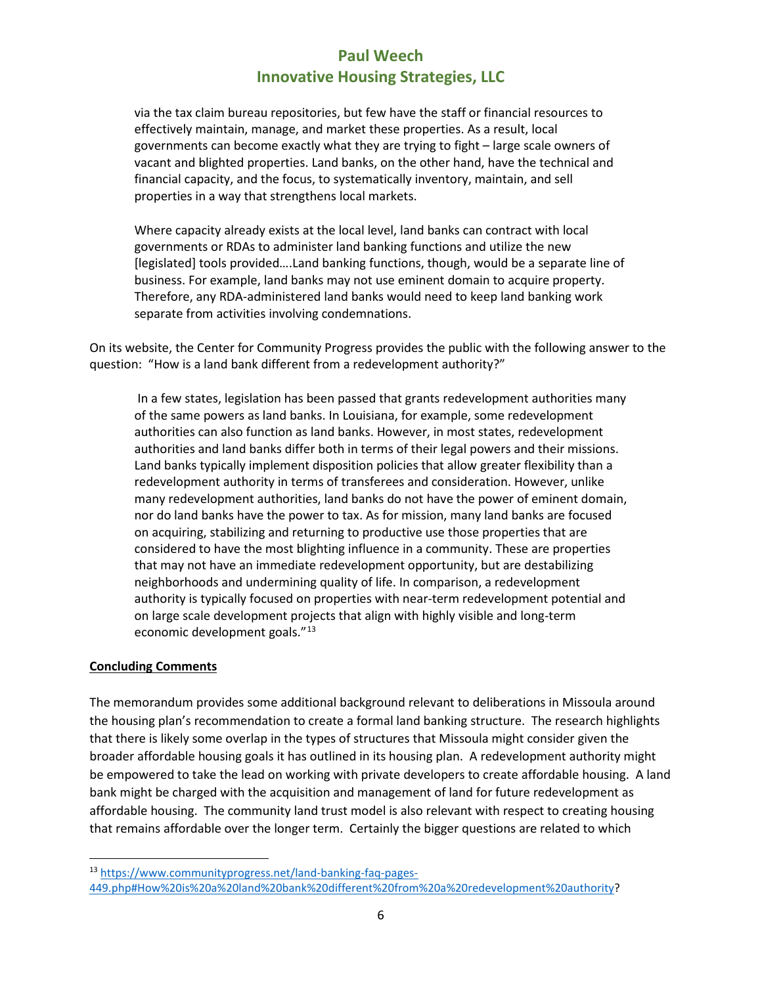via the tax claim bureau repositories, but few have the staff or financial resources to effectively maintain, manage, and market these properties. As a result, local governments can become exactly what they are trying to fight – large scale owners of vacant and blighted properties. Land banks, on the other hand, have the technical and financial capacity, and the focus, to systematically inventory, maintain, and sell properties in a way that strengthens local markets.

Where capacity already exists at the local level, land banks can contract with local governments or RDAs to administer land banking functions and utilize the new [legislated] tools provided….Land banking functions, though, would be a separate line of business. For example, land banks may not use eminent domain to acquire property. Therefore, any RDA-administered land banks would need to keep land banking work separate from activities involving condemnations.

On its website, the Center for Community Progress provides the public with the following answer to the question: "How is a land bank different from a redevelopment authority?"

In a few states, legislation has been passed that grants redevelopment authorities many of the same powers as land banks. In Louisiana, for example, some redevelopment authorities can also function as land banks. However, in most states, redevelopment authorities and land banks differ both in terms of their legal powers and their missions. Land banks typically implement disposition policies that allow greater flexibility than a redevelopment authority in terms of transferees and consideration. However, unlike many redevelopment authorities, land banks do not have the power of eminent domain, nor do land banks have the power to tax. As for mission, many land banks are focused on acquiring, stabilizing and returning to productive use those properties that are considered to have the most blighting influence in a community. These are properties that may not have an immediate redevelopment opportunity, but are destabilizing neighborhoods and undermining quality of life. In comparison, a redevelopment authority is typically focused on properties with near-term redevelopment potential and on large scale development projects that align with highly visible and long-term economic development goals."<sup>[13](#page-5-0)</sup>

#### **Concluding Comments**

The memorandum provides some additional background relevant to deliberations in Missoula around the housing plan's recommendation to create a formal land banking structure. The research highlights that there is likely some overlap in the types of structures that Missoula might consider given the broader affordable housing goals it has outlined in its housing plan. A redevelopment authority might be empowered to take the lead on working with private developers to create affordable housing. A land bank might be charged with the acquisition and management of land for future redevelopment as affordable housing. The community land trust model is also relevant with respect to creating housing that remains affordable over the longer term. Certainly the bigger questions are related to which

<span id="page-5-0"></span> <sup>13</sup> [https://www.communityprogress.net/land-banking-faq-pages-](https://www.communityprogress.net/land-banking-faq-pages-449.php#How%20is%20a%20land%20bank%20different%20from%20a%20redevelopment%20authority)[449.php#How%20is%20a%20land%20bank%20different%20from%20a%20redevelopment%20authority?](https://www.communityprogress.net/land-banking-faq-pages-449.php#How%20is%20a%20land%20bank%20different%20from%20a%20redevelopment%20authority)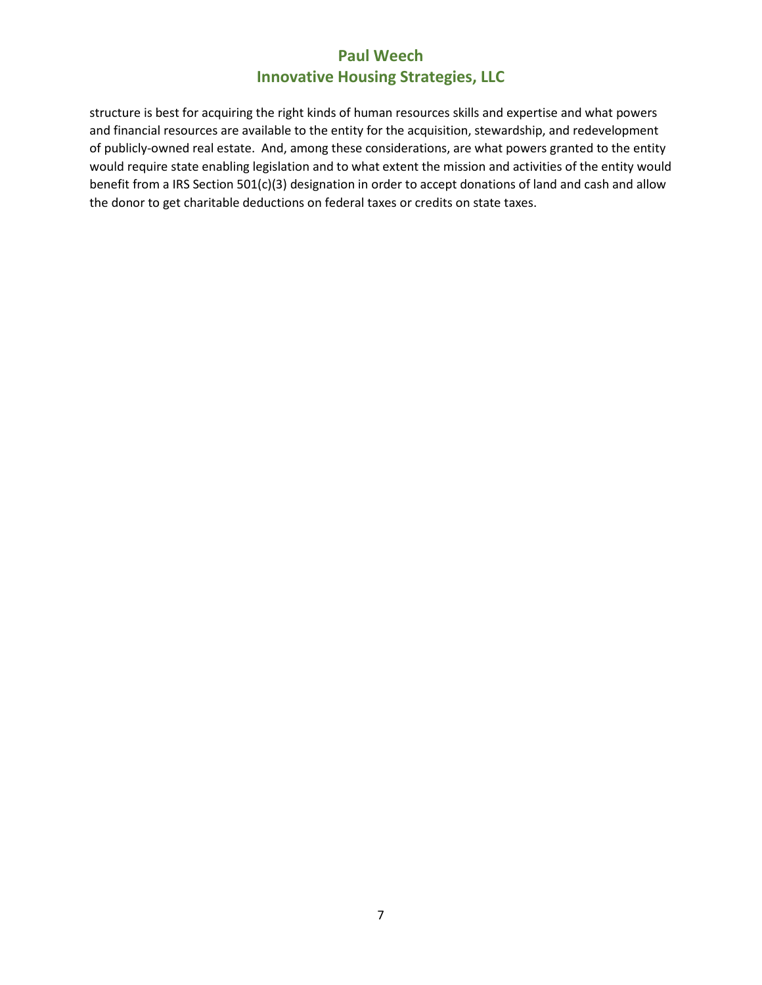structure is best for acquiring the right kinds of human resources skills and expertise and what powers and financial resources are available to the entity for the acquisition, stewardship, and redevelopment of publicly-owned real estate. And, among these considerations, are what powers granted to the entity would require state enabling legislation and to what extent the mission and activities of the entity would benefit from a IRS Section 501(c)(3) designation in order to accept donations of land and cash and allow the donor to get charitable deductions on federal taxes or credits on state taxes.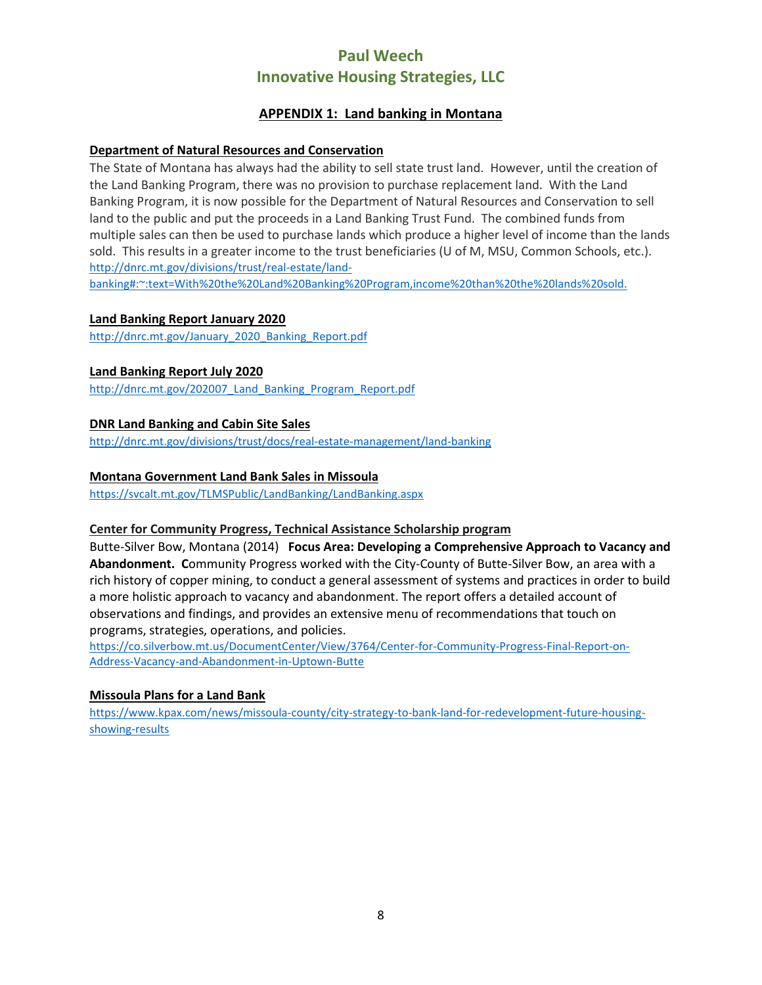## **APPENDIX 1: Land banking in Montana**

#### **Department of Natural Resources and Conservation**

The State of Montana has always had the ability to sell state trust land. However, until the creation of the Land Banking Program, there was no provision to purchase replacement land. With the Land Banking Program, it is now possible for the Department of Natural Resources and Conservation to sell land to the public and put the proceeds in a Land Banking Trust Fund. The combined funds from multiple sales can then be used to purchase lands which produce a higher level of income than the lands sold. This results in a greater income to the trust beneficiaries (U of M, MSU, Common Schools, etc.). [http://dnrc.mt.gov/divisions/trust/real-estate/land-](http://dnrc.mt.gov/divisions/trust/real-estate/land-banking#:%7E:text=With%20the%20Land%20Banking%20Program,income%20than%20the%20lands%20sold)

[banking#:~:text=With%20the%20Land%20Banking%20Program,income%20than%20the%20lands%20sold.](http://dnrc.mt.gov/divisions/trust/real-estate/land-banking#:%7E:text=With%20the%20Land%20Banking%20Program,income%20than%20the%20lands%20sold)

#### **Land Banking Report January 2020**

[http://dnrc.mt.gov/January\\_2020\\_Banking\\_Report.pdf](http://dnrc.mt.gov/January_2020_Banking_Report.pdf)

#### **Land Banking Report July 2020**

[http://dnrc.mt.gov/202007\\_Land\\_Banking\\_Program\\_Report.pdf](http://dnrc.mt.gov/202007_Land_Banking_Program_Report.pdf)

#### **DNR Land Banking and Cabin Site Sales**

<http://dnrc.mt.gov/divisions/trust/docs/real-estate-management/land-banking>

#### **Montana Government Land Bank Sales in Missoula**

<https://svcalt.mt.gov/TLMSPublic/LandBanking/LandBanking.aspx>

#### **Center for Community Progress, Technical Assistance Scholarship program**

Butte-Silver Bow, Montana (2014) **Focus Area: Developing a Comprehensive Approach to Vacancy and Abandonment. C**ommunity Progress worked with the City-County of Butte-Silver Bow, an area with a rich history of copper mining, to conduct a general assessment of systems and practices in order to build a more holistic approach to vacancy and abandonment. The report offers a detailed account of observations and findings, and provides an extensive menu of recommendations that touch on programs, strategies, operations, and policies.

[https://co.silverbow.mt.us/DocumentCenter/View/3764/Center-for-Community-Progress-Final-Report-on-](https://co.silverbow.mt.us/DocumentCenter/View/3764/Center-for-Community-Progress-Final-Report-on-Address-Vacancy-and-Abandonment-in-Uptown-Butte)[Address-Vacancy-and-Abandonment-in-Uptown-Butte](https://co.silverbow.mt.us/DocumentCenter/View/3764/Center-for-Community-Progress-Final-Report-on-Address-Vacancy-and-Abandonment-in-Uptown-Butte)

#### **Missoula Plans for a Land Bank**

[https://www.kpax.com/news/missoula-county/city-strategy-to-bank-land-for-redevelopment-future-housing](https://www.kpax.com/news/missoula-county/city-strategy-to-bank-land-for-redevelopment-future-housing-showing-results)[showing-results](https://www.kpax.com/news/missoula-county/city-strategy-to-bank-land-for-redevelopment-future-housing-showing-results)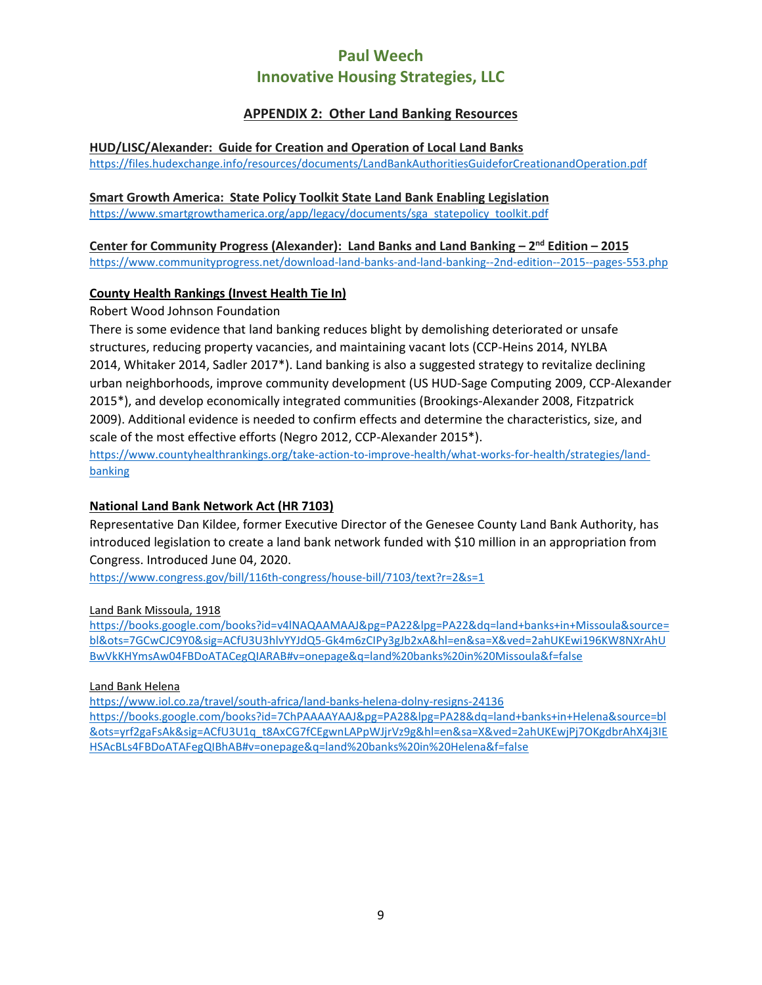## **APPENDIX 2: Other Land Banking Resources**

#### **HUD/LISC/Alexander: Guide for Creation and Operation of Local Land Banks**

<https://files.hudexchange.info/resources/documents/LandBankAuthoritiesGuideforCreationandOperation.pdf>

#### **Smart Growth America: State Policy Toolkit State Land Bank Enabling Legislation**

[https://www.smartgrowthamerica.org/app/legacy/documents/sga\\_statepolicy\\_toolkit.pdf](https://www.smartgrowthamerica.org/app/legacy/documents/sga_statepolicy_toolkit.pdf)

## **Center for Community Progress (Alexander): Land Banks and Land Banking – 2nd Edition – 2015**

<https://www.communityprogress.net/download-land-banks-and-land-banking--2nd-edition--2015--pages-553.php>

## **County Health Rankings (Invest Health Tie In)**

### Robert Wood Johnson Foundation

There is some evidence that land banking reduces blight by demolishing deteriorated or unsafe structures, reducing property vacancies, and maintaining vacant lots [\(CCP-Heins 2014,](http://action.communityprogress.net/p/salsa/web/common/public/signup?signup_page_KEY=8120) [NYLBA](http://syracuselandbank.org/wp-content/uploads/2014/02/NY-Land-Banks-report.pdf)  [2014,](http://syracuselandbank.org/wp-content/uploads/2014/02/NY-Land-Banks-report.pdf) [Whitaker 2014,](http://papers.ssrn.com/sol3/papers.cfm?abstract_id=2182175) [Sadler 2017\\*\)](https://academic.oup.com/cdj/article/52/4/591/2607781). Land banking is also a suggested strategy to revitalize declining urban neighborhoods, improve community development [\(US HUD-Sage Computing 2009,](https://www.huduser.gov/portal/publications/affhsg/landbanks.html) [CCP-Alexander](http://action.communityprogress.net/p/salsa/web/common/public/signup?signup_page_KEY=8679)  [2015\\*\)](http://action.communityprogress.net/p/salsa/web/common/public/signup?signup_page_KEY=8679), and develop economically integrated communities [\(Brookings-Alexander 2008,](http://www.brookings.edu/research/papers/2008/10/28-mortgage-crisis-alexander) [Fitzpatrick](http://papers.ssrn.com/sol3/papers.cfm?abstract_id=1316971)  [2009\)](http://papers.ssrn.com/sol3/papers.cfm?abstract_id=1316971). Additional evidence is needed to confirm effects and determine the characteristics, size, and scale of the most effective efforts [\(Negro 2012,](http://www.rc.com/publications/upload/ZPLR-2012-Land-Banking-Negro-with-permission.pdf) [CCP-Alexander 2015\\*\)](http://action.communityprogress.net/p/salsa/web/common/public/signup?signup_page_KEY=8679). [https://www.countyhealthrankings.org/take-action-to-improve-health/what-works-for-health/strategies/land](https://www.countyhealthrankings.org/take-action-to-improve-health/what-works-for-health/strategies/land-banking)[banking](https://www.countyhealthrankings.org/take-action-to-improve-health/what-works-for-health/strategies/land-banking)

## **National Land Bank Network Act (HR 7103)**

Representative Dan Kildee, former Executive Director of the Genesee County Land Bank Authority, has introduced legislation to create a land bank network funded with \$10 million in an appropriation from Congress. Introduced June 04, 2020.

<https://www.congress.gov/bill/116th-congress/house-bill/7103/text?r=2&s=1>

#### Land Bank Missoula, 1918

[https://books.google.com/books?id=v4lNAQAAMAAJ&pg=PA22&lpg=PA22&dq=land+banks+in+Missoula&source=](https://books.google.com/books?id=v4lNAQAAMAAJ&pg=PA22&lpg=PA22&dq=land+banks+in+Missoula&source=bl&ots=7GCwCJC9Y0&sig=ACfU3U3hlvYYJdQ5-Gk4m6zCIPy3gJb2xA&hl=en&sa=X&ved=2ahUKEwi196KW8NXrAhUBwVkKHYmsAw04FBDoATACegQIARAB#v=onepage&q=land%20banks%20in%20Missoula&f=false) [bl&ots=7GCwCJC9Y0&sig=ACfU3U3hlvYYJdQ5-Gk4m6zCIPy3gJb2xA&hl=en&sa=X&ved=2ahUKEwi196KW8NXrAhU](https://books.google.com/books?id=v4lNAQAAMAAJ&pg=PA22&lpg=PA22&dq=land+banks+in+Missoula&source=bl&ots=7GCwCJC9Y0&sig=ACfU3U3hlvYYJdQ5-Gk4m6zCIPy3gJb2xA&hl=en&sa=X&ved=2ahUKEwi196KW8NXrAhUBwVkKHYmsAw04FBDoATACegQIARAB#v=onepage&q=land%20banks%20in%20Missoula&f=false) [BwVkKHYmsAw04FBDoATACegQIARAB#v=onepage&q=land%20banks%20in%20Missoula&f=false](https://books.google.com/books?id=v4lNAQAAMAAJ&pg=PA22&lpg=PA22&dq=land+banks+in+Missoula&source=bl&ots=7GCwCJC9Y0&sig=ACfU3U3hlvYYJdQ5-Gk4m6zCIPy3gJb2xA&hl=en&sa=X&ved=2ahUKEwi196KW8NXrAhUBwVkKHYmsAw04FBDoATACegQIARAB#v=onepage&q=land%20banks%20in%20Missoula&f=false)

#### Land Bank Helena

<https://www.iol.co.za/travel/south-africa/land-banks-helena-dolny-resigns-24136>

[https://books.google.com/books?id=7ChPAAAAYAAJ&pg=PA28&lpg=PA28&dq=land+banks+in+Helena&source=bl](https://books.google.com/books?id=7ChPAAAAYAAJ&pg=PA28&lpg=PA28&dq=land+banks+in+Helena&source=bl&ots=yrf2gaFsAk&sig=ACfU3U1q_t8AxCG7fCEgwnLAPpWJjrVz9g&hl=en&sa=X&ved=2ahUKEwjPj7OKgdbrAhX4j3IEHSAcBLs4FBDoATAFegQIBhAB#v=onepage&q=land%20banks%20in%20Helena&f=false) [&ots=yrf2gaFsAk&sig=ACfU3U1q\\_t8AxCG7fCEgwnLAPpWJjrVz9g&hl=en&sa=X&ved=2ahUKEwjPj7OKgdbrAhX4j3IE](https://books.google.com/books?id=7ChPAAAAYAAJ&pg=PA28&lpg=PA28&dq=land+banks+in+Helena&source=bl&ots=yrf2gaFsAk&sig=ACfU3U1q_t8AxCG7fCEgwnLAPpWJjrVz9g&hl=en&sa=X&ved=2ahUKEwjPj7OKgdbrAhX4j3IEHSAcBLs4FBDoATAFegQIBhAB#v=onepage&q=land%20banks%20in%20Helena&f=false) [HSAcBLs4FBDoATAFegQIBhAB#v=onepage&q=land%20banks%20in%20Helena&f=false](https://books.google.com/books?id=7ChPAAAAYAAJ&pg=PA28&lpg=PA28&dq=land+banks+in+Helena&source=bl&ots=yrf2gaFsAk&sig=ACfU3U1q_t8AxCG7fCEgwnLAPpWJjrVz9g&hl=en&sa=X&ved=2ahUKEwjPj7OKgdbrAhX4j3IEHSAcBLs4FBDoATAFegQIBhAB#v=onepage&q=land%20banks%20in%20Helena&f=false)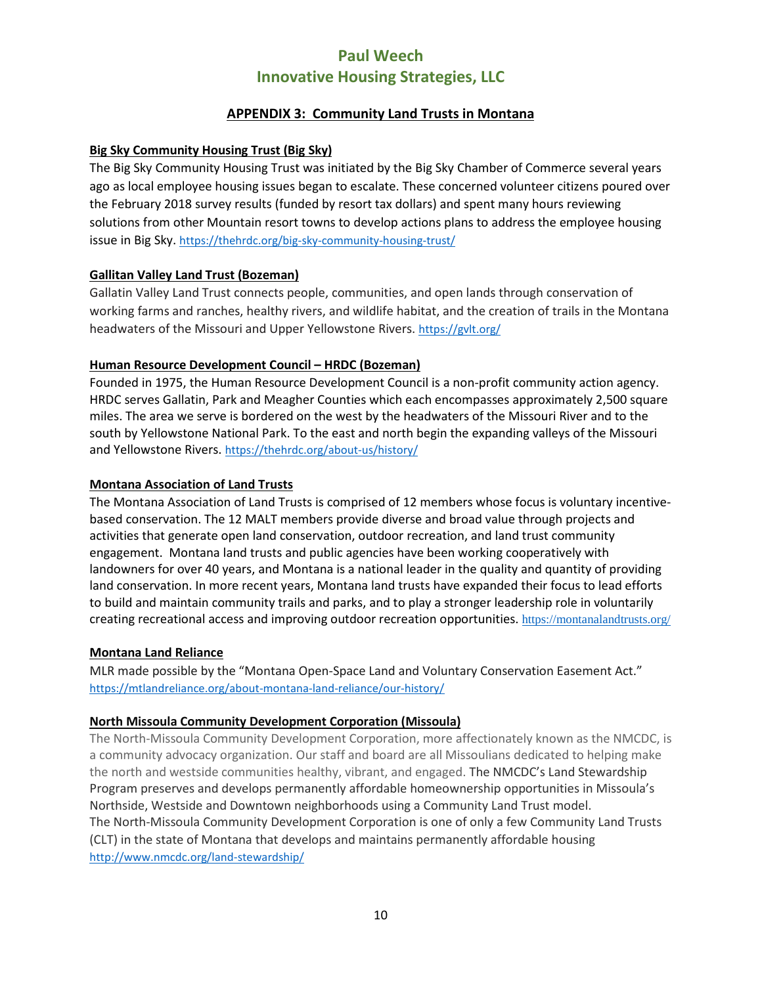## **APPENDIX 3: Community Land Trusts in Montana**

### **Big Sky Community Housing Trust (Big Sky)**

The Big Sky Community Housing Trust was initiated by the Big Sky Chamber of Commerce several years ago as local employee housing issues began to escalate. These concerned volunteer citizens poured over the February 2018 survey results (funded by resort tax dollars) and spent many hours reviewing solutions from other Mountain resort towns to develop actions plans to address the employee housing issue in Big Sky. <https://thehrdc.org/big-sky-community-housing-trust/>

### **Gallitan Valley Land Trust (Bozeman)**

Gallatin Valley Land Trust connects people, communities, and open lands through conservation of working farms and ranches, healthy rivers, and wildlife habitat, and the creation of trails in the Montana headwaters of the Missouri and Upper Yellowstone Rivers. <https://gvlt.org/>

### **Human Resource Development Council – HRDC (Bozeman)**

Founded in 1975, the Human Resource Development Council is a non-profit community action agency. HRDC serves Gallatin, Park and Meagher Counties which each encompasses approximately 2,500 square miles. The area we serve is bordered on the west by the headwaters of the Missouri River and to the south by Yellowstone National Park. To the east and north begin the expanding valleys of the Missouri and Yellowstone Rivers. <https://thehrdc.org/about-us/history/>

#### **Montana Association of Land Trusts**

The Montana Association of Land Trusts is comprised of 12 members whose focus is voluntary incentivebased conservation. The 12 MALT members provide diverse and broad value through projects and activities that generate open land conservation, outdoor recreation, and land trust community engagement. Montana land trusts and public agencies have been working cooperatively with landowners for over 40 years, and Montana is a national leader in the quality and quantity of providing land conservation. In more recent years, Montana land trusts have expanded their focus to lead efforts to build and maintain community trails and parks, and to play a stronger leadership role in voluntarily creating recreational access and improving outdoor recreation opportunities. <https://montanalandtrusts.org/>

#### **Montana Land Reliance**

MLR made possible by the "Montana Open-Space Land and Voluntary Conservation Easement Act." <https://mtlandreliance.org/about-montana-land-reliance/our-history/>

## **North Missoula Community Development Corporation (Missoula)**

The North-Missoula Community Development Corporation, more affectionately known as the NMCDC, is a community advocacy organization. Our staff and board are all Missoulians dedicated to helping make the north and westside communities healthy, vibrant, and engaged. The NMCDC's Land Stewardship Program preserves and develops permanently affordable homeownership opportunities in Missoula's Northside, Westside and Downtown neighborhoods using a Community Land Trust model. The North-Missoula Community Development Corporation is one of only a few Community Land Trusts (CLT) in the state of Montana that develops and maintains permanently affordable housing <http://www.nmcdc.org/land-stewardship/>